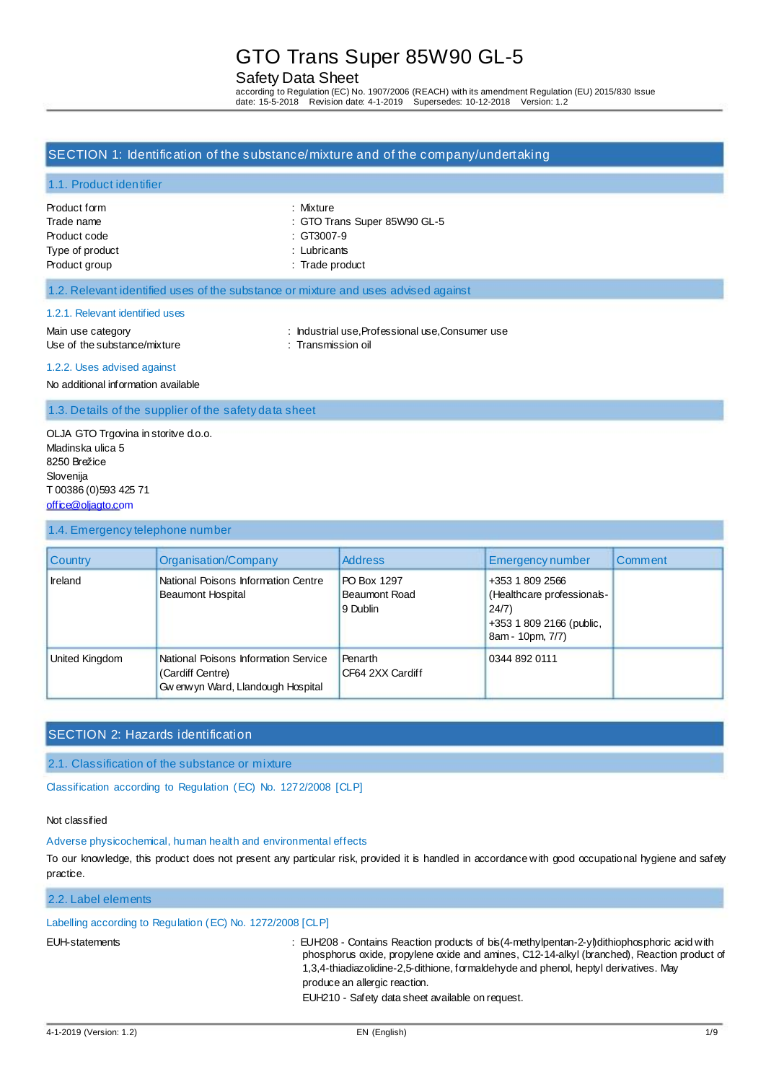## Safety Data Sheet

according to Regulation (EC) No. 1907/2006 (REACH) with its amendment Regulation (EU) 2015/830 Issue<br>date: 15-5-2018 Revision date: 4-1-2019 Supersedes: 10-12-2018 Version: 1.2 Supersedes: 10-12-2018 Version: 1.2

### SECTION 1: Identification of the substance/mixture and of the company/undertaking

#### 1.1. Product identifier

| Product form    |
|-----------------|
| Trade name      |
| Product code    |
| Type of product |
| Product group   |

: Mixture : GTO Trans Super 85W90 GL-5  $: GT3007-9$ 

: Lubricants

: Trade product

#### 1.2. Relevant identified uses of the substance or mixture and uses advised against

#### 1.2.1. Relevant identified uses

Main use category **industrial use, Professional use, Consumer use** : Industrial use, Professional use, Consumer use Use of the substance/mixture : Transmission oil

#### 1.2.2. Uses advised against

No additional information available

1.3. Details of the supplier of the safety data sheet

OLJA GTO Trgovina in storitve d.o.o. Mladinska ulica 5 8250 Brežice Slovenija T 00386 (0)593 425 71 [office@oljagto.com](mailto:office@oljagto.com)

#### 1.4. Emergency telephone number

| <b>Country</b> | Organisation/Company                                                                           | <b>Address</b>                                  | <b>Emergency number</b>                                                                               | Comment |
|----------------|------------------------------------------------------------------------------------------------|-------------------------------------------------|-------------------------------------------------------------------------------------------------------|---------|
| <b>Ireland</b> | National Poisons Information Centre<br><b>Beaumont Hospital</b>                                | PO Box 1297<br><b>Beaumont Road</b><br>9 Dublin | +353 1 809 2566<br>(Healthcare professionals-<br>24/7<br>+353 1 809 2166 (public,<br>8am - 10pm, 7/7) |         |
| United Kingdom | National Poisons Information Service<br>(Cardiff Centre)<br>Gw enw yn Ward, Llandough Hospital | Penarth<br>CF64 2XX Cardiff                     | 0344 892 0111                                                                                         |         |

# SECTION 2: Hazards identification

2.1. Classification of the substance or mixture

Classification according to Regulation (EC) No. 1272/2008 [CLP]

### Not classified

### Adverse physicochemical, human health and environmental effects

To our knowledge, this product does not present any particular risk, provided it is handled in accordance with good occupational hygiene and safety practice.

# 2.2. Label elements

### Labelling according to Regulation (EC) No. 1272/2008 [CLP]

EUH-statements : EUH208 - Contains Reaction products of bis(4-methylpentan-2-yl)dithiophosphoric acid with phosphorus oxide, propylene oxide and amines, C12-14-alkyl (branched), Reaction product of 1,3,4-thiadiazolidine-2,5-dithione, formaldehyde and phenol, heptyl derivatives. May produce an allergic reaction.

EUH210 - Safety data sheet available on request.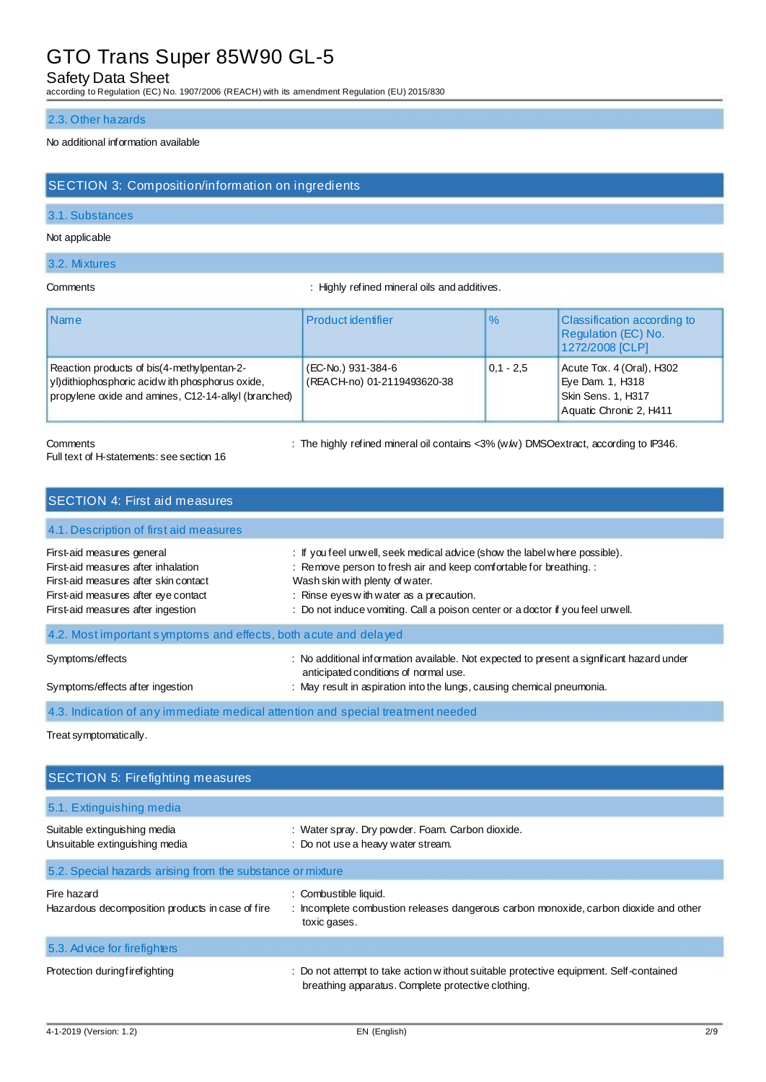# Safety Data Sheet

according to Regulation (EC) No. 1907/2006 (REACH) with its amendment Regulation (EU) 2015/830

#### 2.3. Other hazards

### No additional information available

## SECTION 3: Composition/information on ingredients

### 3.1. Substances

#### Not applicable

#### 3.2. Mixtures

Comments **Comments** : Highly refined mineral oils and additives.

| <b>Name</b>                                                                                                                                            | <b>Product identifier</b>                         | $\%$          | <b>Classification according to</b><br>Regulation (EC) No.<br>1272/2008 [CLP]                   |
|--------------------------------------------------------------------------------------------------------------------------------------------------------|---------------------------------------------------|---------------|------------------------------------------------------------------------------------------------|
| Reaction products of bis(4-methylpentan-2-<br>yl) dithiophosphoric acid w ith phosphorus oxide,<br>propylene oxide and amines, C12-14-alkyl (branched) | (EC-No.) 931-384-6<br>(REACH-no) 01-2119493620-38 | $ 0.1 - 2.5 $ | Acute Tox. 4 (Oral), H302<br>Eye Dam. 1, H318<br>Skin Sens. 1, H317<br>Aquatic Chronic 2, H411 |

#### Full text of H-statements: see section 16

Comments : The highly refined mineral oil contains <3% (w/w) DMSOextract, according to IP346.

| <b>SECTION 4: First aid measures</b>                                                                                                                                                                                                                                 |                                                                                                                                                                                                                                                                                                                   |
|----------------------------------------------------------------------------------------------------------------------------------------------------------------------------------------------------------------------------------------------------------------------|-------------------------------------------------------------------------------------------------------------------------------------------------------------------------------------------------------------------------------------------------------------------------------------------------------------------|
| 4.1. Description of first aid measures                                                                                                                                                                                                                               |                                                                                                                                                                                                                                                                                                                   |
| First-aid measures general<br>First-aid measures after inhalation<br>First-aid measures after skin contact<br>First-aid measures after eye contact<br>First-aid measures after ingestion                                                                             | : If you feel unwell, seek medical advice (show the label where possible).<br>: Remove person to fresh air and keep comfortable for breathing. :<br>Wash skin with plenty of water.<br>: Rinse eyes with water as a precaution.<br>: Do not induce vomiting. Call a poison center or a doctor if you feel unwell. |
| 4.2. Most important symptoms and effects, both a cute and delayed                                                                                                                                                                                                    |                                                                                                                                                                                                                                                                                                                   |
| : No additional information available. Not expected to present a significant hazard under<br>Symptoms/effects<br>anticipated conditions of normal use.<br>: May result in aspiration into the lungs, causing chemical pneumonia.<br>Symptoms/effects after ingestion |                                                                                                                                                                                                                                                                                                                   |
|                                                                                                                                                                                                                                                                      | 4.3. Indication of any immediate medical attention and special treatment needed                                                                                                                                                                                                                                   |

Treat symptomatically.

| <b>SECTION 5: Firefighting measures</b>                         |                                                                                                                                             |  |
|-----------------------------------------------------------------|---------------------------------------------------------------------------------------------------------------------------------------------|--|
| 5.1. Extinguishing media                                        |                                                                                                                                             |  |
| Suitable extinguishing media<br>Unsuitable extinguishing media  | : Water spray. Dry powder. Foam. Carbon dioxide.<br>: Do not use a heavy water stream.                                                      |  |
| 5.2. Special hazards arising from the substance or mixture      |                                                                                                                                             |  |
| Fire hazard<br>Hazardous decomposition products in case of fire | : Combustible liquid.<br>: Incomplete combustion releases dangerous carbon monoxide, carbon dioxide and other<br>toxic gases.               |  |
| 5.3. Advice for firefighters                                    |                                                                                                                                             |  |
| Protection during fire fighting                                 | : Do not attempt to take action without suitable protective equipment. Self-contained<br>breathing apparatus. Complete protective clothing. |  |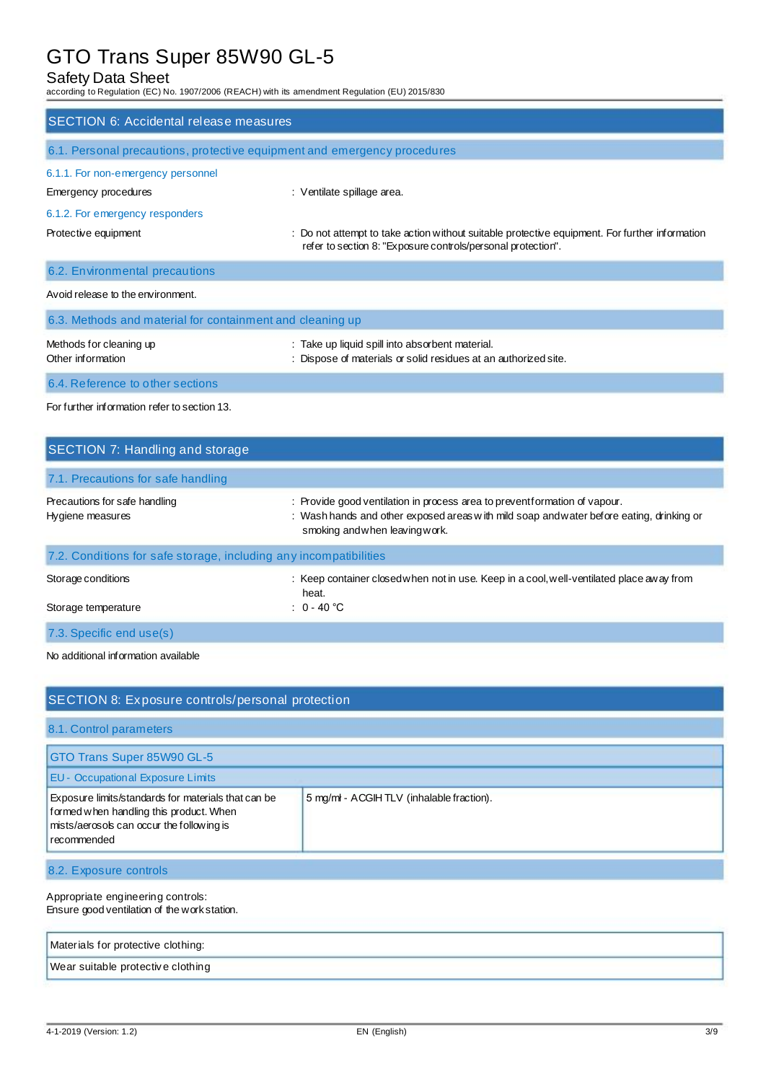# Safety Data Sheet

according to Regulation (EC) No. 1907/2006 (REACH) with its amendment Regulation (EU) 2015/830

| <b>SECTION 6: Accidental release measures</b>                            |                                                                                                                                                                |
|--------------------------------------------------------------------------|----------------------------------------------------------------------------------------------------------------------------------------------------------------|
| 6.1. Personal precautions, protective equipment and emergency procedures |                                                                                                                                                                |
| 6.1.1. For non-emergency personnel                                       |                                                                                                                                                                |
| Emergency procedures                                                     | : Ventilate spillage area.                                                                                                                                     |
| 6.1.2. For emergency responders                                          |                                                                                                                                                                |
| Protective equipment                                                     | : Do not attempt to take action without suitable protective equipment. For further information<br>refer to section 8: "Exposure controls/personal protection". |
| 6.2. Environmental precautions                                           |                                                                                                                                                                |
| Avoid release to the environment.                                        |                                                                                                                                                                |
| 6.3. Methods and material for containment and cleaning up                |                                                                                                                                                                |
| Methods for cleaning up<br>Other information                             | : Take up liquid spill into absorbent material.<br>: Dispose of materials or solid residues at an authorized site.                                             |
| 6.4. Reference to other sections                                         |                                                                                                                                                                |

For further information refer to section 13.

| SECTION 7: Handling and storage                                   |                                                                                                                                                                                                         |
|-------------------------------------------------------------------|---------------------------------------------------------------------------------------------------------------------------------------------------------------------------------------------------------|
| 7.1. Precautions for safe handling                                |                                                                                                                                                                                                         |
| Precautions for safe handling<br>Hygiene measures                 | : Provide good ventilation in process area to preventformation of vapour.<br>: Wash hands and other exposed areas with mild soap and water before eating, drinking or<br>smoking and when leaving work. |
| 7.2. Conditions for safe storage, including any incompatibilities |                                                                                                                                                                                                         |
| Storage conditions                                                | : Keep container closed when not in use. Keep in a cool, well-ventilated place away from<br>heat.                                                                                                       |
| Storage temperature                                               | : $0 - 40$ °C                                                                                                                                                                                           |
| 7.3. Specific end use(s)                                          |                                                                                                                                                                                                         |

No additional information available

| SECTION 8: Exposure controls/personal protection                                                                                                           |                                          |  |
|------------------------------------------------------------------------------------------------------------------------------------------------------------|------------------------------------------|--|
| 8.1. Control parameters                                                                                                                                    |                                          |  |
| GTO Trans Super 85W90 GL-5                                                                                                                                 |                                          |  |
| <b>EU - Occupational Exposure Limits</b>                                                                                                                   |                                          |  |
| Exposure limits/standards for materials that can be<br>formed when handling this product. When<br>mists/aerosols can occur the following is<br>recommended | 5 mg/ml - ACGIHTLV (inhalable fraction). |  |
| 8.2. Exposure controls                                                                                                                                     |                                          |  |

#### Appropriate engineering controls: Ensure good ventilation of the work station.

| Materials for protective clothing: |  |
|------------------------------------|--|
| Wear suitable protective clothing  |  |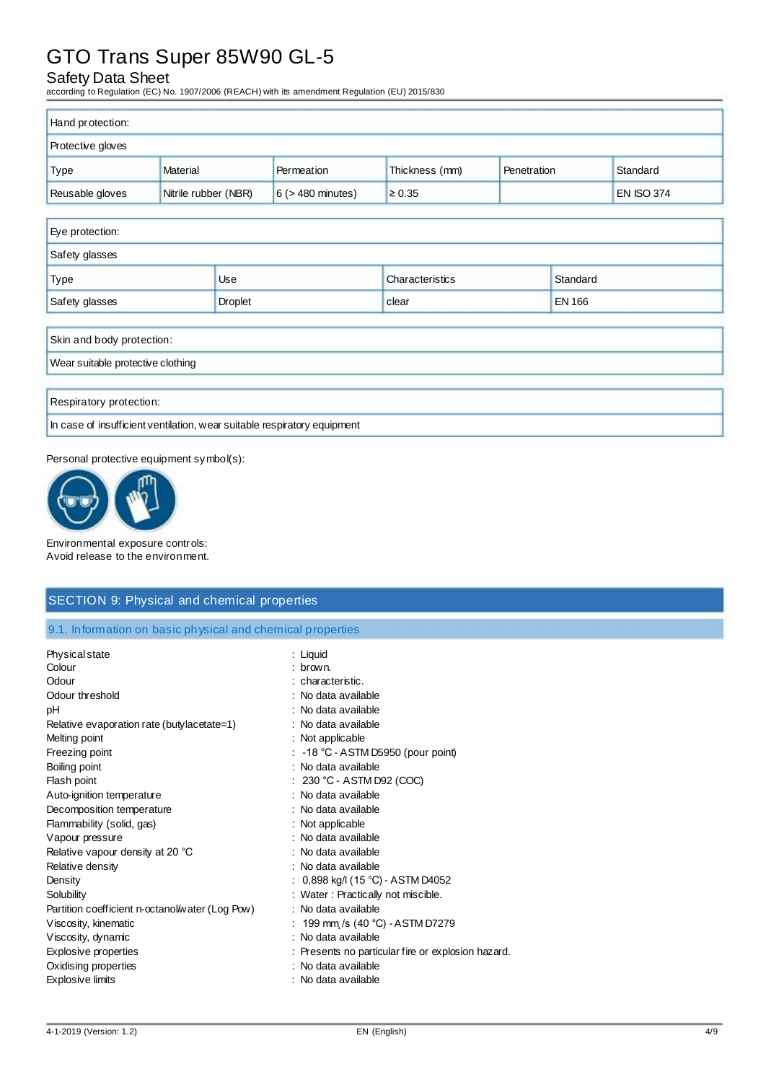# Safety Data Sheet

according to Regulation (EC) No. 1907/2006 (REACH) with its amendment Regulation (EU) 2015/830

| Hand protection:  |                      |                        |                |             |                   |
|-------------------|----------------------|------------------------|----------------|-------------|-------------------|
| Protective gloves |                      |                        |                |             |                   |
| <b>Type</b>       | Material             | Permeation             | Thickness (mm) | Penetration | Standard          |
| Reusable gloves   | Nitrile rubber (NBR) | $6$ ( $>$ 480 minutes) | $\geq 0.35$    |             | <b>EN ISO 374</b> |

| Eye protection:                   |            |                 |               |
|-----------------------------------|------------|-----------------|---------------|
| Safety glasses                    |            |                 |               |
| <b>Type</b>                       | <b>Use</b> | Characteristics | Standard      |
| Safety glasses                    | Droplet    | clear           | <b>EN 166</b> |
| Skin and body protection:         |            |                 |               |
| Wear suitable protective clothing |            |                 |               |

Respiratory protection:

In case of insufficient ventilation, wear suitable respiratory equipment

Personal protective equipment symbol(s):



Environmental exposure controls: Avoid release to the environment.

# SECTION 9: Physical and chemical properties

9.1. Information on basic physical and chemical properties

| Physical state                                  | : Liquid                                           |
|-------------------------------------------------|----------------------------------------------------|
| Colour                                          | : brown.                                           |
| Odour                                           | : characteristic.                                  |
| Odour threshold                                 | : No data available                                |
| рH                                              | : No data available                                |
| Relative evaporation rate (butylacetate=1)      | : No data available                                |
| Melting point                                   | : Not applicable                                   |
| Freezing point                                  | $\therefore$ -18 °C - ASTM D5950 (pour point)      |
| Boiling point                                   | : No data available                                |
| Flash point                                     | : 230 °C - ASTM D92 (COC)                          |
| Auto-ignition temperature                       | : No data available                                |
| Decomposition temperature                       | : No data available                                |
| Flammability (solid, gas)                       | : Not applicable                                   |
| Vapour pressure                                 | : No data available                                |
| Relative vapour density at 20 °C                | : No data available                                |
| Relative density                                | : No data available                                |
| Density                                         | : $0,898$ kg/l (15 °C) - ASTM D4052                |
| Solubility                                      | : Water : Practically not miscible.                |
| Partition coefficient n-octanol/water (Log Pow) | : No data available                                |
| Viscosity, kinematic                            | : 199 mm /s (40 °C) - ASTM D7279                   |
| Viscosity, dynamic                              | : No data available                                |
| Explosive properties                            | : Presents no particular fire or explosion hazard. |
| Oxidising properties                            | : No data available                                |
| <b>Explosive limits</b>                         | : No data available                                |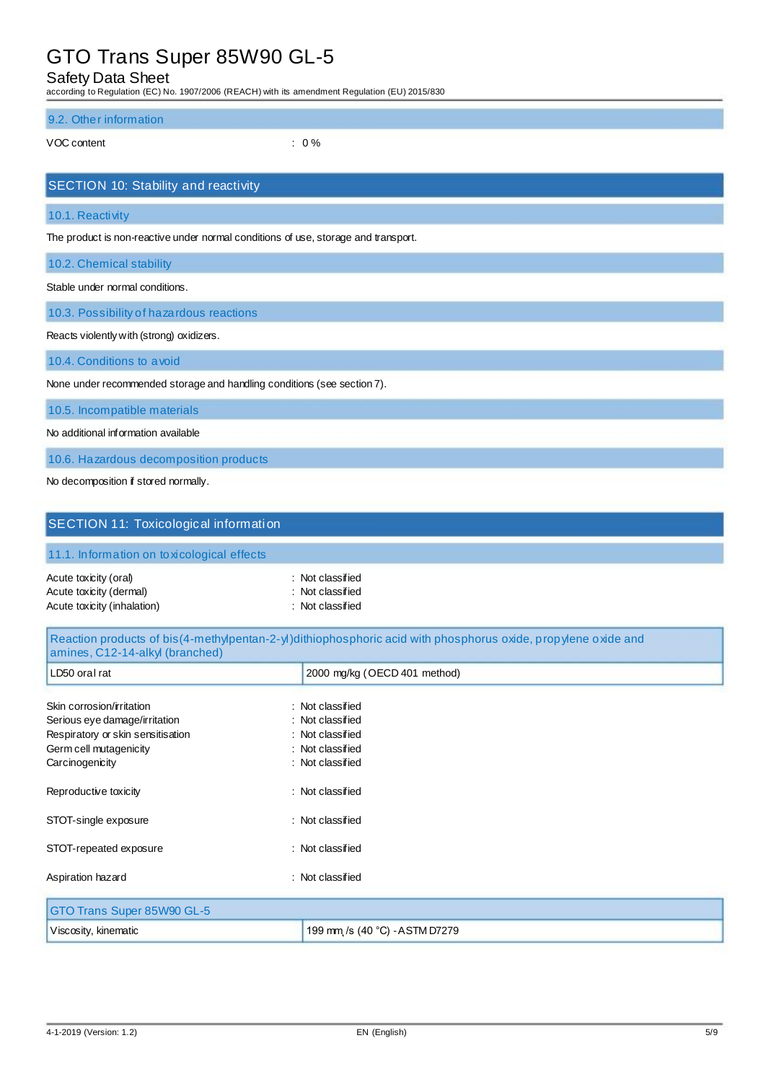Safety Data Sheet

according to Regulation (EC) No. 1907/2006 (REACH) with its amendment Regulation (EU) 2015/830

#### 9.2. Other information

VOC content : 0 %

| <b>SECTION 10: Stability and reactivity</b>                                        |
|------------------------------------------------------------------------------------|
| 10.1. Reactivity                                                                   |
| The product is non-reactive under normal conditions of use, storage and transport. |
| 10.2. Chemical stability                                                           |
| Stable under normal conditions.                                                    |
| 10.3. Possibility of hazardous reactions                                           |
| Reacts violently with (strong) oxidizers.                                          |
| 10.4. Conditions to a void                                                         |
| None under recommended storage and handling conditions (see section 7).            |
| 10.5. Incompatible materials                                                       |
| No additional information available                                                |
| 10.6. Hazardous decomposition products                                             |

No decomposition if stored normally.

| SECTION 11: Toxicological information                                                                                                        |                                                                                                               |
|----------------------------------------------------------------------------------------------------------------------------------------------|---------------------------------------------------------------------------------------------------------------|
| 11.1. Information on toxicological effects                                                                                                   |                                                                                                               |
| Acute toxicity (oral)<br>Acute toxicity (dermal)<br>Acute toxicity (inhalation)                                                              | : Not classified<br>: Not classified<br>: Not classified                                                      |
| amines, C12-14-alkyl (branched)                                                                                                              | Reaction products of bis(4-methylpentan-2-yl)dithiophosphoric acid with phosphorus oxide, propylene oxide and |
| LD50 oral rat                                                                                                                                | 2000 mg/kg (OECD 401 method)                                                                                  |
| Skin corrosion/irritation<br>Serious eye damage/irritation<br>Respiratory or skin sensitisation<br>Germ cell mutagenicity<br>Carcinogenicity | : Not classified<br>: Not classified<br>: Not classified<br>: Not classified<br>: Not classified              |
| Reproductive toxicity                                                                                                                        | : Not classified                                                                                              |
| STOT-single exposure                                                                                                                         | : Not classified                                                                                              |
| STOT-repeated exposure                                                                                                                       | : Not classified                                                                                              |
| Aspiration hazard                                                                                                                            | : Not classified                                                                                              |
| GTO Trans Super 85W90 GL-5                                                                                                                   |                                                                                                               |
| Viscosity, kinematic                                                                                                                         | 199 mm /s (40 °C) - ASTM D7279                                                                                |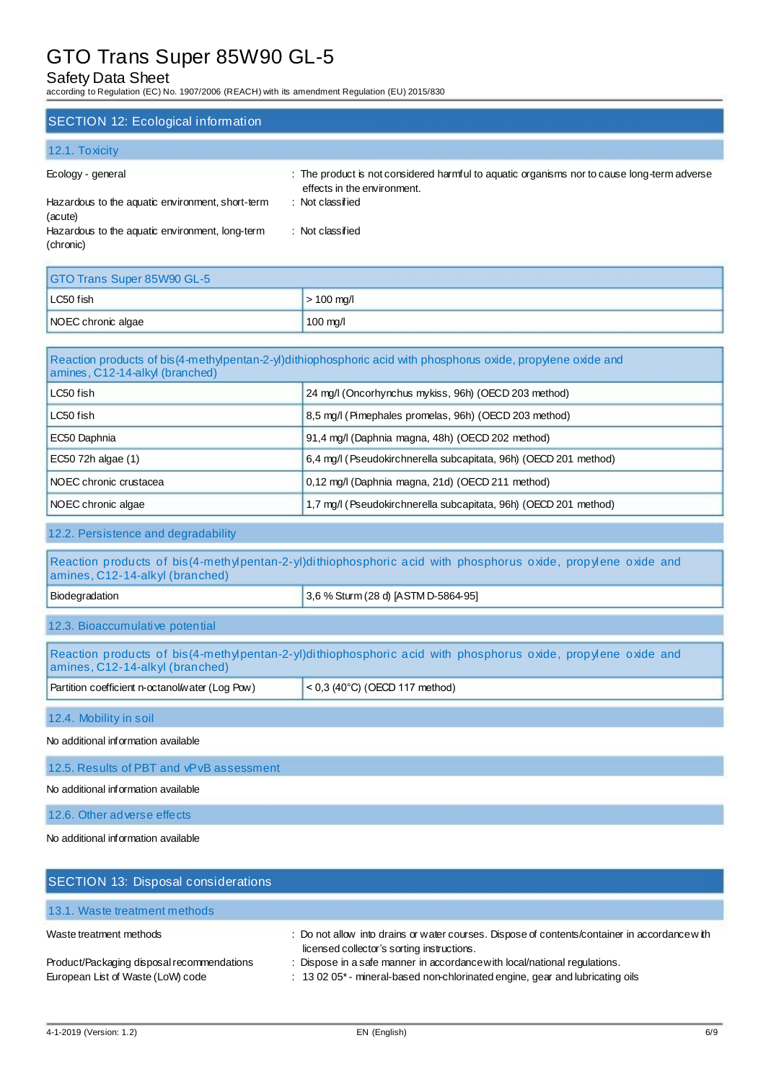# Safety Data Sheet

according to Regulation (EC) No. 1907/2006 (REACH) with its amendment Regulation (EU) 2015/830

### SECTION 12: Ecological information

### 12.1. Toxicity

| Ecology - general                                            | : The product is not considered harmful to aquatic organisms nor to cause long-term adverse<br>effects in the environment. |
|--------------------------------------------------------------|----------------------------------------------------------------------------------------------------------------------------|
| Hazardous to the aquatic environment, short-term<br>(acute)  | : Not classified                                                                                                           |
| Hazardous to the aquatic environment, long-term<br>(chronic) | : Not classified                                                                                                           |

| GTO Trans Super 85W90 GL-5 |                    |  |
|----------------------------|--------------------|--|
| LC50 fish                  | $>$ 100 mg/l       |  |
| NOEC chronic algae         | $100 \text{ mg/l}$ |  |

| Reaction products of bis (4-methylpentan-2-y) dithiophosphoric acid with phosphorus oxide, propylene oxide and<br>amines, C12-14-alkyl (branched) |                                                                  |  |
|---------------------------------------------------------------------------------------------------------------------------------------------------|------------------------------------------------------------------|--|
| LC50 fish                                                                                                                                         | 24 mg/l (Oncorhynchus mykiss, 96h) (OECD 203 method)             |  |
| LC50 fish                                                                                                                                         | 8,5 mg/l (Pimephales promelas, 96h) (OECD 203 method)            |  |
| EC50 Daphnia                                                                                                                                      | 91,4 mg/l (Daphnia magna, 48h) (OECD 202 method)                 |  |
| $EC50$ 72h algae (1)                                                                                                                              | 6.4 mg/l (Pseudokirchnerella subcapitata, 96h) (OECD 201 method) |  |
| INOEC chronic crustacea                                                                                                                           | 0,12 mg/l (Daphnia magna, 21d) (OECD 211 method)                 |  |
| NOEC chronic algae                                                                                                                                | 1,7 mg/l (Pseudokirchnerella subcapitata, 96h) (OECD 201 method) |  |

# 12.2. Persistence and degradability

| Reaction products of bis(4-methylpentan-2-yl)dithiophosphoric acid with phosphorus oxide, propylene oxide and<br>amines, C12-14-alkyl (branched) |                                     |  |
|--------------------------------------------------------------------------------------------------------------------------------------------------|-------------------------------------|--|
| Biodegradation                                                                                                                                   | 3,6 % Sturm (28 d) [ASTM D-5864-95] |  |
| 12.3. Bioaccumulative potential                                                                                                                  |                                     |  |
| Reaction products of bis(4-methylpentan-2-yl)dithiophosphoric acid with phosphorus oxide, propylene oxide and<br>amines, C12-14-alkyl (branched) |                                     |  |
| Partition coefficient n-octanol/water (Log Pow)                                                                                                  | $< 0.3$ (40°C) (OECD 117 method)    |  |
| 12.4. Mobility in soil                                                                                                                           |                                     |  |
| No additional information available                                                                                                              |                                     |  |
| 12.5. Results of PBT and vPvB assessment                                                                                                         |                                     |  |
| No additional information available                                                                                                              |                                     |  |

12.6. Other adverse effects

No additional information available

| SECTION 13: Disposal considerations                                             |                                                                                                                                                            |
|---------------------------------------------------------------------------------|------------------------------------------------------------------------------------------------------------------------------------------------------------|
| 13.1. Waste treatment methods                                                   |                                                                                                                                                            |
| Waste treatment methods                                                         | : Do not allow into drains or water courses. Dispose of contents/container in accordance with<br>licensed collector's sorting instructions.                |
| Product/Packaging disposal recommendations<br>European List of Waste (LoW) code | : Dispose in a safe manner in accordance with local/national regulations.<br>: 13 02 05* - mineral-based non-chlorinated engine, gear and lubricating oils |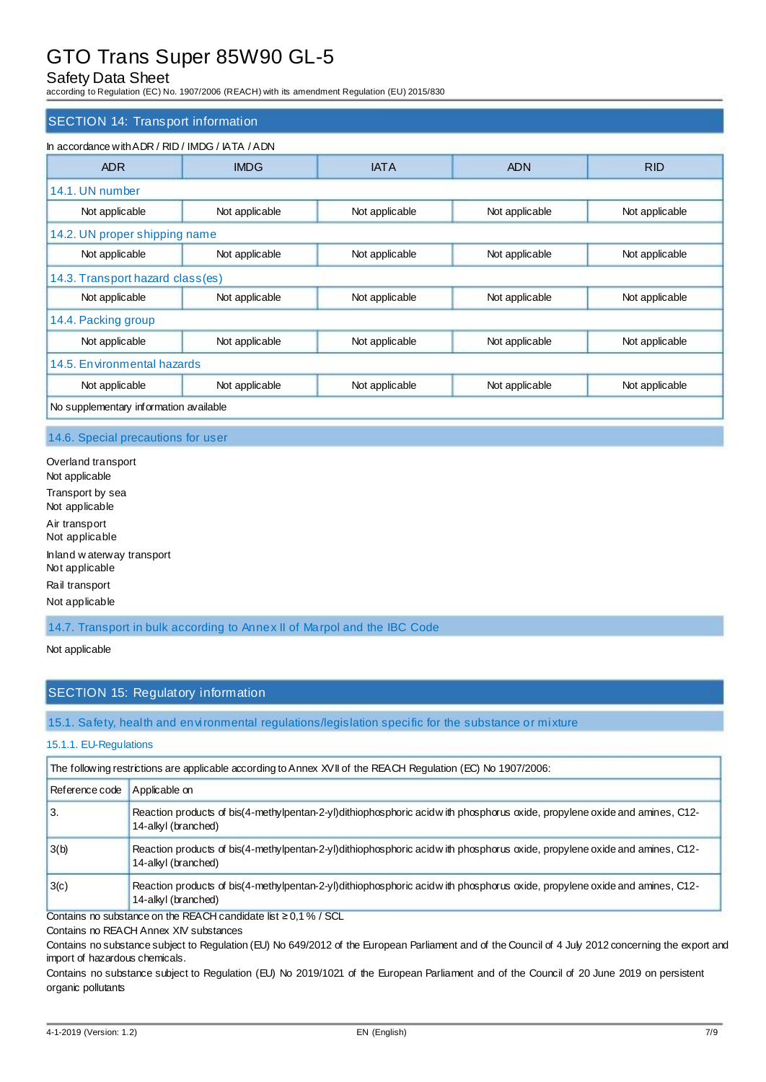# Safety Data Sheet

according to Regulation (EC) No. 1907/2006 (REACH) with its amendment Regulation (EU) 2015/830

#### SECTION 14: Transport information

| <b>ADR</b>                       | <b>IMDG</b>    | <b>IATA</b>    | <b>ADN</b>     | <b>RID</b>     |
|----------------------------------|----------------|----------------|----------------|----------------|
| 14.1. UN number                  |                |                |                |                |
| Not applicable                   | Not applicable | Not applicable | Not applicable | Not applicable |
| 14.2. UN proper shipping name    |                |                |                |                |
| Not applicable                   | Not applicable | Not applicable | Not applicable | Not applicable |
| 14.3. Transport hazard class(es) |                |                |                |                |
| Not applicable                   | Not applicable | Not applicable | Not applicable | Not applicable |
| 14.4. Packing group              |                |                |                |                |
| Not applicable                   | Not applicable | Not applicable | Not applicable | Not applicable |
| 14.5. Environmental hazards      |                |                |                |                |
| Not applicable                   | Not applicable | Not applicable | Not applicable | Not applicable |

#### 14.6. Special precautions for user

Overland transport Not applicable Transport by sea Not applicable Air transport Not applicable Inland w aterway transport Not applicable Rail transport Not applicable

14.7. Transport in bulk according to Annex II of Marpol and the IBC Code

### Not applicable

## SECTION 15: Regulatory information

### 15.1. Safety, health and environmental regulations/legislation specific for the substance or mixture

#### 15.1.1. EU-Regulations

|                | The following restrictions are applicable according to Annex XVII of the REACH Regulation (EC) No 1907/2006:                                      |
|----------------|---------------------------------------------------------------------------------------------------------------------------------------------------|
| Reference code | Applicable on                                                                                                                                     |
| 3.             | Reaction products of bis(4-methylpentan-2-yl)dithiophosphoric acidw ith phosphorus oxide, propylene oxide and amines, C12-<br>14-alkyl (branched) |
| 3(b)           | Reaction products of bis(4-methylpentan-2-yl)dithiophosphoric acidwith phosphorus oxide, propylene oxide and amines, C12-<br>14-alkyl (branched)  |
| 3(c)           | Reaction products of bis(4-methylpentan-2-yl)dithiophosphoric acidwith phosphorus oxide, propylene oxide and amines, C12-<br>14-alkyl (branched)  |

Contains no substance on the REACH candidate list ≥ 0,1 % / SCL

Contains no REACH Annex XIV substances

Contains no substance subject to Regulation (EU) No 649/2012 of the European Parliament and of the Council of 4 July 2012 concerning the export and import of hazardous chemicals.

Contains no substance subject to Regulation (EU) No 2019/1021 of the European Parliament and of the Council of 20 June 2019 on persistent organic pollutants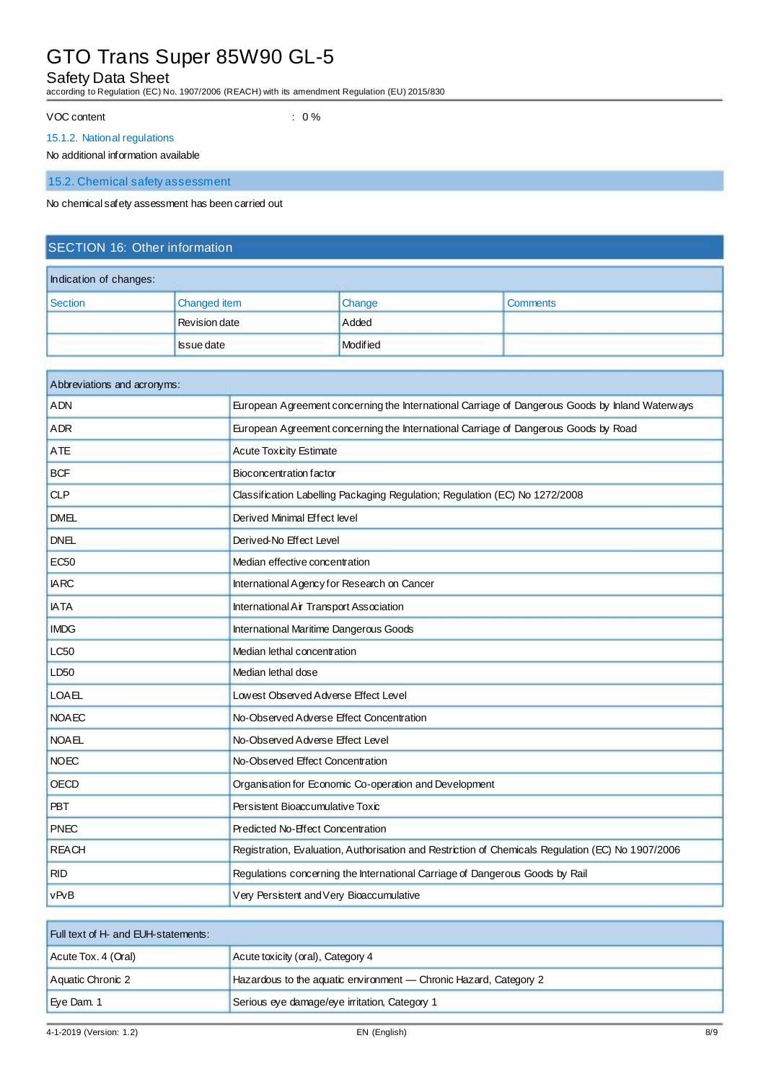# Safety Data Sheet

according to Regulation (EC) No. 1907/2006 (REACH) with its amendment Regulation (EU) 2015/830

VOC content : 0 %

#### 15.1.2. National regulations

#### No additional information available

15.2. Chemical safety assessment

No chemical safety assessment has been carried out

# SECTION 16: Other information

| Indication of changes: |                      |               |                 |
|------------------------|----------------------|---------------|-----------------|
| Section                | Changed item         | <b>Change</b> | <b>Comments</b> |
|                        | <b>Revision date</b> | Added         |                 |
|                        | <b>Issue date</b>    | Modified      |                 |

| Abbreviations and acronyms: |                                                                                                   |
|-----------------------------|---------------------------------------------------------------------------------------------------|
| <b>ADN</b>                  | European Agreement concerning the International Carriage of Dangerous Goods by Inland Waterways   |
| <b>ADR</b>                  | European Agreement concerning the International Carriage of Dangerous Goods by Road               |
| <b>ATE</b>                  | <b>Acute Toxicity Estimate</b>                                                                    |
| <b>BCF</b>                  | Bioconcentration factor                                                                           |
| <b>CLP</b>                  | Classification Labelling Packaging Regulation; Regulation (EC) No 1272/2008                       |
| <b>DMEL</b>                 | Derived Minimal Effect level                                                                      |
| <b>DNEL</b>                 | Derived-No Effect Level                                                                           |
| <b>EC50</b>                 | Median effective concentration                                                                    |
| <b>IARC</b>                 | International Agency for Research on Cancer                                                       |
| <b>IATA</b>                 | International Air Transport Association                                                           |
| <b>IMDG</b>                 | International Maritime Dangerous Goods                                                            |
| LC50                        | Median lethal concentration                                                                       |
| LD <sub>50</sub>            | Median lethal dose                                                                                |
| <b>LOAEL</b>                | Lowest Observed Adverse Effect Level                                                              |
| <b>NOAEC</b>                | No-Observed Adverse Effect Concentration                                                          |
| <b>NOAEL</b>                | No-Observed Adverse Effect Level                                                                  |
| <b>NOEC</b>                 | No-Observed Effect Concentration                                                                  |
| <b>OECD</b>                 | Organisation for Economic Co-operation and Development                                            |
| <b>PBT</b>                  | Persistent Bioaccumulative Toxic                                                                  |
| <b>PNEC</b>                 | Predicted No-Effect Concentration                                                                 |
| <b>REACH</b>                | Registration, Evaluation, Authorisation and Restriction of Chemicals Regulation (EC) No 1907/2006 |
| <b>RID</b>                  | Regulations concerning the International Carriage of Dangerous Goods by Rail                      |
| vPvB                        | Very Persistent and Very Bioaccumulative                                                          |

| <b>Full text of H- and EUH-statements:</b> |                                                                   |  |
|--------------------------------------------|-------------------------------------------------------------------|--|
| Acute Tox. 4 (Oral)                        | Acute toxicity (oral), Category 4                                 |  |
| Aquatic Chronic 2                          | Hazardous to the aquatic environment - Chronic Hazard, Category 2 |  |
| Eye Dam. 1                                 | Serious eye damage/eye irritation, Category 1                     |  |